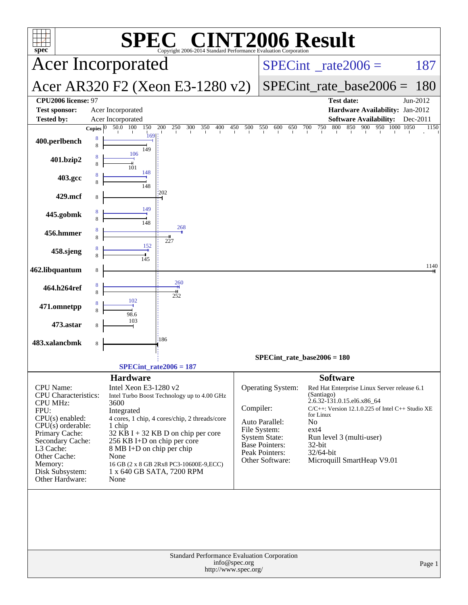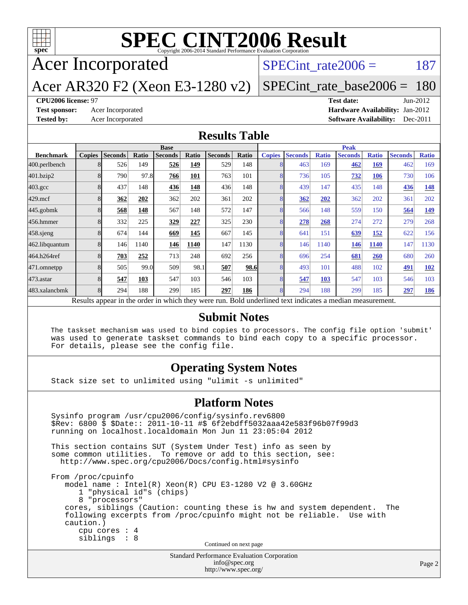

# **[SPEC CINT2006 Result](http://www.spec.org/auto/cpu2006/Docs/result-fields.html#SPECCINT2006Result)**

Acer Incorporated

SPECint rate $2006 = 187$ 

### Acer AR320 F2 (Xeon E3-1280 v2)

[SPECint\\_rate\\_base2006 =](http://www.spec.org/auto/cpu2006/Docs/result-fields.html#SPECintratebase2006) 180

#### **[CPU2006 license:](http://www.spec.org/auto/cpu2006/Docs/result-fields.html#CPU2006license)** 97 **[Test date:](http://www.spec.org/auto/cpu2006/Docs/result-fields.html#Testdate)** Jun-2012

**[Test sponsor:](http://www.spec.org/auto/cpu2006/Docs/result-fields.html#Testsponsor)** Acer Incorporated **Acceleration Acer Incorporated <b>[Hardware Availability:](http://www.spec.org/auto/cpu2006/Docs/result-fields.html#HardwareAvailability)** Jan-2012 **[Tested by:](http://www.spec.org/auto/cpu2006/Docs/result-fields.html#Testedby)** Acer Incorporated **[Software Availability:](http://www.spec.org/auto/cpu2006/Docs/result-fields.html#SoftwareAvailability)** Dec-2011

#### **[Results Table](http://www.spec.org/auto/cpu2006/Docs/result-fields.html#ResultsTable)**

|                                                                                                          | <b>Base</b>   |                |       |                |       | <b>Peak</b>    |       |               |                |              |                |              |                |              |
|----------------------------------------------------------------------------------------------------------|---------------|----------------|-------|----------------|-------|----------------|-------|---------------|----------------|--------------|----------------|--------------|----------------|--------------|
| <b>Benchmark</b>                                                                                         | <b>Copies</b> | <b>Seconds</b> | Ratio | <b>Seconds</b> | Ratio | <b>Seconds</b> | Ratio | <b>Copies</b> | <b>Seconds</b> | <b>Ratio</b> | <b>Seconds</b> | <b>Ratio</b> | <b>Seconds</b> | <b>Ratio</b> |
| 400.perlbench                                                                                            |               | 526            | 149   | 526            | 149   | 529            | 148   |               | 463            | 169          | 462            | 169          | 462            | 169          |
| 401.bzip2                                                                                                |               | 790            | 97.8  | 766            | 101   | 763            | 101   | $\mathsf{R}$  | 736            | 105          | <u>732</u>     | 106          | 730            | 106          |
| $403.\mathrm{gcc}$                                                                                       |               | 437            | 148   | 436            | 148   | 436            | 148   |               | 439            | 147          | 435            | 148          | 436            | 148          |
| $429$ .mcf                                                                                               |               | 362            | 202   | 362            | 202   | 361            | 202   |               | 362            | 202          | 362            | 202          | 361            | 202          |
| $445$ .gobmk                                                                                             |               | 568            | 148   | 567            | 148   | 572            | 147   |               | 566            | 148          | 559            | 150          | 564            | 149          |
| 456.hmmer                                                                                                |               | 332            | 225   | 329            | 227   | 325            | 230   |               | 278            | 268          | 274            | 272          | 279            | 268          |
| $458$ .sjeng                                                                                             |               | 674            | 144   | 669            | 145   | 667            | 145   |               | 641            | 151          | 639            | <u>152</u>   | 622            | 156          |
| 462.libquantum                                                                                           |               | 146            | 1140  | 146            | 1140  | 147            | 1130  | 8             | 146            | 1140         | 146            | 1140         | 147            | 1130         |
| 464.h264ref                                                                                              |               | 703            | 252   | 713            | 248   | 692            | 256   |               | 696            | 254          | 681            | 260          | 680            | 260          |
| 471.omnetpp                                                                                              |               | 505            | 99.0  | 509            | 98.1  | 507            | 98.6  |               | 493            | 101          | 488            | 102          | 491            | <b>102</b>   |
| $473$ . astar                                                                                            |               | 547            | 103   | 547            | 103   | 546            | 103   |               | 547            | 103          | 547            | 103          | 546            | 103          |
| 483.xalancbmk                                                                                            |               | 294            | 188   | 299            | 185   | 297            | 186   |               | 294            | 188          | 299            | 185          | 297            | 186          |
| Results appear in the order in which they were run. Bold underlined text indicates a median measurement. |               |                |       |                |       |                |       |               |                |              |                |              |                |              |

#### **[Submit Notes](http://www.spec.org/auto/cpu2006/Docs/result-fields.html#SubmitNotes)**

 The taskset mechanism was used to bind copies to processors. The config file option 'submit' was used to generate taskset commands to bind each copy to a specific processor. For details, please see the config file.

### **[Operating System Notes](http://www.spec.org/auto/cpu2006/Docs/result-fields.html#OperatingSystemNotes)**

Stack size set to unlimited using "ulimit -s unlimited"

#### **[Platform Notes](http://www.spec.org/auto/cpu2006/Docs/result-fields.html#PlatformNotes)**

Standard Performance Evaluation Corporation Sysinfo program /usr/cpu2006/config/sysinfo.rev6800 \$Rev: 6800 \$ \$Date:: 2011-10-11 #\$ 6f2ebdff5032aaa42e583f96b07f99d3 running on localhost.localdomain Mon Jun 11 23:05:04 2012 This section contains SUT (System Under Test) info as seen by some common utilities. To remove or add to this section, see: <http://www.spec.org/cpu2006/Docs/config.html#sysinfo> From /proc/cpuinfo model name : Intel(R) Xeon(R) CPU E3-1280 V2 @ 3.60GHz 1 "physical id"s (chips) 8 "processors" cores, siblings (Caution: counting these is hw and system dependent. The following excerpts from /proc/cpuinfo might not be reliable. Use with caution.) cpu cores : 4 siblings : 8 Continued on next page

[info@spec.org](mailto:info@spec.org) <http://www.spec.org/>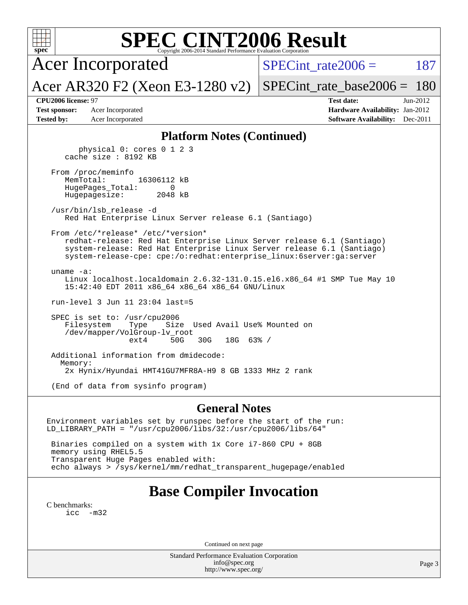| <b>SPEC CINT2006 Result</b><br>$spec^*$<br>Copyright 2006-2014 Standard Performance Evaluation Corporation                                                                                                                                                     |                                                                              |
|----------------------------------------------------------------------------------------------------------------------------------------------------------------------------------------------------------------------------------------------------------------|------------------------------------------------------------------------------|
| <b>Acer Incorporated</b>                                                                                                                                                                                                                                       | $SPECint rate 2006 =$<br>187                                                 |
| Acer AR320 F2 (Xeon E3-1280 v2)                                                                                                                                                                                                                                | $SPECint_rate\_base2006 =$<br>180                                            |
| CPU2006 license: 97                                                                                                                                                                                                                                            | <b>Test date:</b><br>Jun-2012                                                |
| Acer Incorporated<br><b>Test sponsor:</b><br><b>Tested by:</b><br>Acer Incorporated                                                                                                                                                                            | Hardware Availability: Jan-2012<br><b>Software Availability:</b><br>Dec-2011 |
| <b>Platform Notes (Continued)</b>                                                                                                                                                                                                                              |                                                                              |
| physical 0: cores 0 1 2 3<br>cache size : 8192 KB                                                                                                                                                                                                              |                                                                              |
| From /proc/meminfo<br>MemTotal:<br>16306112 kB<br>HugePages_Total:<br>0<br>Hugepagesize:<br>2048 kB                                                                                                                                                            |                                                                              |
| /usr/bin/lsb release -d<br>Red Hat Enterprise Linux Server release 6.1 (Santiago)                                                                                                                                                                              |                                                                              |
| From /etc/*release* /etc/*version*<br>redhat-release: Red Hat Enterprise Linux Server release 6.1 (Santiago)<br>system-release: Red Hat Enterprise Linux Server release 6.1 (Santiago)<br>system-release-cpe: cpe:/o:redhat:enterprise_linux:6server:ga:server |                                                                              |
| uname $-a$ :<br>Linux localhost.localdomain 2.6.32-131.0.15.el6.x86_64 #1 SMP Tue May 10<br>15:42:40 EDT 2011 x86_64 x86_64 x86_64 GNU/Linux                                                                                                                   |                                                                              |
| run-level 3 Jun 11 23:04 last=5                                                                                                                                                                                                                                |                                                                              |
| SPEC is set to: /usr/cpu2006<br>Filesystem<br>Size Used Avail Use% Mounted on<br>Type<br>/dev/mapper/VolGroup-lv_root<br>50G<br>ext4<br>30G<br>$18G$ 63% /                                                                                                     |                                                                              |
| Additional information from dmidecode:<br>Memory:<br>2x Hynix/Hyundai HMT41GU7MFR8A-H9 8 GB 1333 MHz 2 rank                                                                                                                                                    |                                                                              |
| (End of data from sysinfo program)                                                                                                                                                                                                                             |                                                                              |
| <b>General Notes</b>                                                                                                                                                                                                                                           |                                                                              |
|                                                                                                                                                                                                                                                                |                                                                              |
| Environment variables set by runspec before the start of the run:<br>$LD_LIBRRRY_PATH = "/usr/cpu2006/libs/32:/usr/cpu2006/libs/64"$                                                                                                                           |                                                                              |
| Binaries compiled on a system with 1x Core i7-860 CPU + 8GB<br>memory using RHEL5.5<br>Transparent Huge Pages enabled with:<br>echo always > /sys/kernel/mm/redhat_transparent_hugepage/enabled                                                                |                                                                              |
|                                                                                                                                                                                                                                                                |                                                                              |
| <b>Base Compiler Invocation</b>                                                                                                                                                                                                                                |                                                                              |
| C benchmarks:<br>$\text{icc}$ -m32                                                                                                                                                                                                                             |                                                                              |
|                                                                                                                                                                                                                                                                |                                                                              |
| Continued on next page<br>Standard Performance Evaluation Corporation                                                                                                                                                                                          |                                                                              |

Standard Performance Evaluation Corporation [info@spec.org](mailto:info@spec.org) <http://www.spec.org/>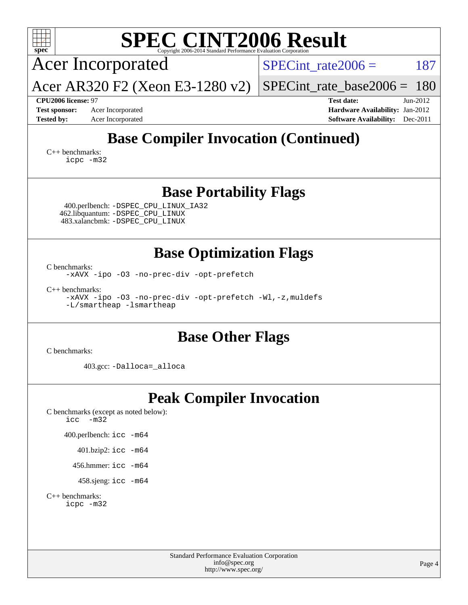| $spec^*$                                                                                                                                                                                        | <b>SPEC CINT2006 Result</b><br>Copyright 2006-2014 Standard Performance Evaluation Corporation      |
|-------------------------------------------------------------------------------------------------------------------------------------------------------------------------------------------------|-----------------------------------------------------------------------------------------------------|
| <b>Acer Incorporated</b>                                                                                                                                                                        | 187<br>$SPECint rate 2006 =$                                                                        |
| Acer AR320 F2 (Xeon E3-1280 v2)                                                                                                                                                                 | 180<br>$SPECint_rate_base2006 =$                                                                    |
| CPU2006 license: 97<br><b>Test sponsor:</b><br>Acer Incorporated<br><b>Tested by:</b><br>Acer Incorporated                                                                                      | Jun-2012<br><b>Test date:</b><br>Hardware Availability: Jan-2012<br>Software Availability: Dec-2011 |
| $C_{++}$ benchmarks:<br>icpc -m32                                                                                                                                                               | <b>Base Compiler Invocation (Continued)</b>                                                         |
| 400.perlbench: -DSPEC_CPU_LINUX_IA32<br>462.libquantum: - DSPEC_CPU_LINUX<br>483.xalancbmk: -DSPEC_CPU_LINUX                                                                                    | <b>Base Portability Flags</b>                                                                       |
| C benchmarks:<br>-xAVX -ipo -03 -no-prec-div -opt-prefetch<br>$C_{++}$ benchmarks:<br>-xAVX -ipo -03 -no-prec-div -opt-prefetch -Wl,-z, muldefs<br>-L/smartheap -lsmartheap                     | <b>Base Optimization Flags</b>                                                                      |
| C benchmarks:<br>403.gcc: -Dalloca=_alloca                                                                                                                                                      | <b>Base Other Flags</b>                                                                             |
| C benchmarks (except as noted below):<br>$\text{icc}$ -m32<br>400.perlbench: icc -m64<br>401.bzip2: icc -m64<br>456.hmmer: icc -m64<br>458.sjeng: icc -m64<br>$C_{++}$ benchmarks:<br>icpc -m32 | <b>Peak Compiler Invocation</b>                                                                     |
|                                                                                                                                                                                                 | Standard Performance Evaluation Corporation<br>info@spec.org<br>Page $\angle$                       |

<http://www.spec.org/>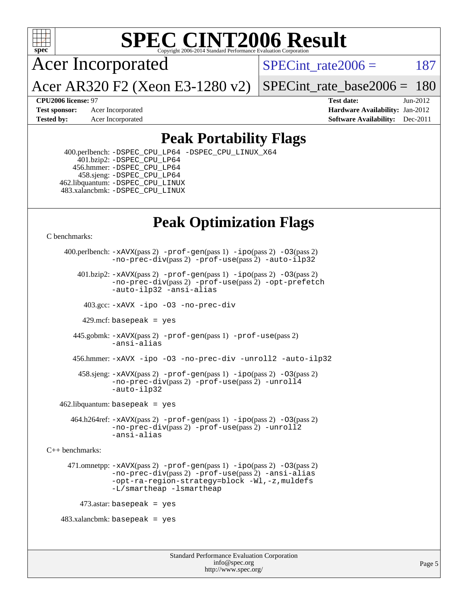

# **[SPEC CINT2006 Result](http://www.spec.org/auto/cpu2006/Docs/result-fields.html#SPECCINT2006Result)**

Acer Incorporated

Acer AR320 F2 (Xeon E3-1280 v2)

SPECint rate $2006 = 187$ 

[SPECint\\_rate\\_base2006 =](http://www.spec.org/auto/cpu2006/Docs/result-fields.html#SPECintratebase2006) 180

**[CPU2006 license:](http://www.spec.org/auto/cpu2006/Docs/result-fields.html#CPU2006license)** 97 **[Test date:](http://www.spec.org/auto/cpu2006/Docs/result-fields.html#Testdate)** Jun-2012 **[Test sponsor:](http://www.spec.org/auto/cpu2006/Docs/result-fields.html#Testsponsor)** Acer Incorporated **[Hardware Availability:](http://www.spec.org/auto/cpu2006/Docs/result-fields.html#HardwareAvailability)** Jan-2012 **[Tested by:](http://www.spec.org/auto/cpu2006/Docs/result-fields.html#Testedby)** Acer Incorporated **[Software Availability:](http://www.spec.org/auto/cpu2006/Docs/result-fields.html#SoftwareAvailability)** Dec-2011

## **[Peak Portability Flags](http://www.spec.org/auto/cpu2006/Docs/result-fields.html#PeakPortabilityFlags)**

 400.perlbench: [-DSPEC\\_CPU\\_LP64](http://www.spec.org/cpu2006/results/res2012q3/cpu2006-20120612-22873.flags.html#b400.perlbench_peakCPORTABILITY_DSPEC_CPU_LP64) [-DSPEC\\_CPU\\_LINUX\\_X64](http://www.spec.org/cpu2006/results/res2012q3/cpu2006-20120612-22873.flags.html#b400.perlbench_peakCPORTABILITY_DSPEC_CPU_LINUX_X64) 401.bzip2: [-DSPEC\\_CPU\\_LP64](http://www.spec.org/cpu2006/results/res2012q3/cpu2006-20120612-22873.flags.html#suite_peakCPORTABILITY401_bzip2_DSPEC_CPU_LP64) 456.hmmer: [-DSPEC\\_CPU\\_LP64](http://www.spec.org/cpu2006/results/res2012q3/cpu2006-20120612-22873.flags.html#suite_peakCPORTABILITY456_hmmer_DSPEC_CPU_LP64) 458.sjeng: [-DSPEC\\_CPU\\_LP64](http://www.spec.org/cpu2006/results/res2012q3/cpu2006-20120612-22873.flags.html#suite_peakCPORTABILITY458_sjeng_DSPEC_CPU_LP64) 462.libquantum: [-DSPEC\\_CPU\\_LINUX](http://www.spec.org/cpu2006/results/res2012q3/cpu2006-20120612-22873.flags.html#b462.libquantum_peakCPORTABILITY_DSPEC_CPU_LINUX) 483.xalancbmk: [-DSPEC\\_CPU\\_LINUX](http://www.spec.org/cpu2006/results/res2012q3/cpu2006-20120612-22873.flags.html#b483.xalancbmk_peakCXXPORTABILITY_DSPEC_CPU_LINUX)

# **[Peak Optimization Flags](http://www.spec.org/auto/cpu2006/Docs/result-fields.html#PeakOptimizationFlags)**

[C benchmarks](http://www.spec.org/auto/cpu2006/Docs/result-fields.html#Cbenchmarks):

```
 400.perlbench: -xAVX(pass 2) -prof-gen(pass 1) -ipo(pass 2) -O3(pass 2)
                -no-prec-div(pass 2) -prof-use(pass 2) -auto-ilp32
        401.bzip2: -xAVX(pass 2) -prof-gen(pass 1) -ipo(pass 2) -O3(pass 2)
                -no-prec-div(pass 2) -prof-use(pass 2) -opt-prefetch
                -auto-ilp32 -ansi-alias
          403.gcc: -xAVX -ipo -O3 -no-prec-div
         429.mcf: basepeak = yes
       445.gobmk: -xAVX(pass 2) -prof-gen(pass 1) -prof-use(pass 2)
                -ansi-alias
       456.hmmer: -xAVX -ipo -O3 -no-prec-div -unroll2 -auto-ilp32
         458.sjeng: -xAVX(pass 2) -prof-gen(pass 1) -ipo(pass 2) -O3(pass 2)
                -no-prec-div(pass 2) -prof-use(pass 2) -unroll4
                -auto-ilp32
   462.libquantum: basepeak = yes
       464.h264ref: -xAVX(pass 2) -prof-gen(pass 1) -ipo(pass 2) -O3(pass 2)
                 -no-prec-div(pass 2) -prof-use(pass 2) -unroll2
                -ansi-alias
C++ benchmarks: 
      471.omnetpp: -xAVX(pass 2) -prof-gen(pass 1) -ipo(pass 2) -O3(pass 2)
                -no-prec-div(pass 2) -prof-use(pass 2) -ansi-alias
                -opt-ra-region-strategy=block -Wl,-z,muldefs
                -L/smartheap -lsmartheap
         473.astar: basepeak = yes
   483.xalanchmk: basepeak = yes
```